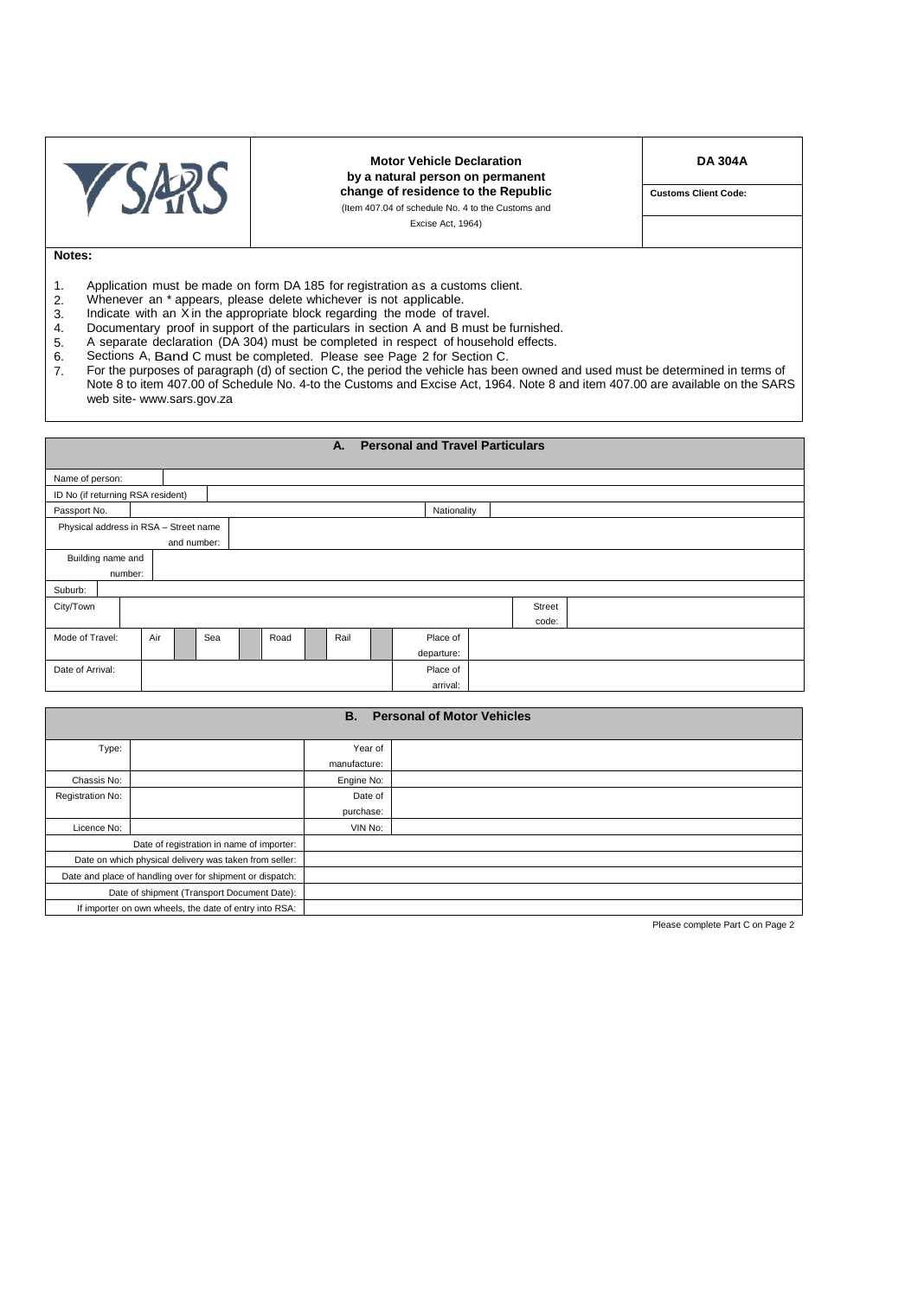|  | <b>Motor Vehicle Declaration</b><br>by a natural person on permanent | <b>DA 304A</b>              |  |  |  |
|--|----------------------------------------------------------------------|-----------------------------|--|--|--|
|  | change of residence to the Republic                                  | <b>Customs Client Code:</b> |  |  |  |
|  | (Item 407.04 of schedule No. 4 to the Customs and                    |                             |  |  |  |
|  | Excise Act, 1964)                                                    |                             |  |  |  |
|  |                                                                      |                             |  |  |  |

## **Notes:**

- 1. Application must be made on form DA 185 for registration as a customs client.<br>2. Whenever an \* appears, please delete whichever is not applicable.
- 2. Whenever an \* appears, please delete whichever is not applicable.<br>3. Indicate with an X in the appropriate block regarding the mode of tra
- 
- 3. Indicate with an X in the appropriate block regarding the mode of travel.<br>4. Documentary proof in support of the particulars in section A and B must 4. Documentary proof in support of the particulars in section A and B must be furnished.<br>5. A separate declaration (DA 304) must be completed in respect of household effects.
- 5. A separate declaration (DA 304) must be completed in respect of household effects.
- 6. Sections A, Band C must be completed. Please see Page 2 for Section C.
- 7. For the purposes of paragraph (d) of section C, the period the vehicle has been owned and used must be determined in terms of Note 8 to item 407.00 of Schedule No. 4-to the Customs and Excise Act, 1964. Note 8 and item 407.00 are available on the SARS web site- www.sars.gov.za

## **A. Personal and Travel Particulars**

| Name of person:                                           |         |             |  |          |  |          |  |  |            |  |  |  |  |  |  |
|-----------------------------------------------------------|---------|-------------|--|----------|--|----------|--|--|------------|--|--|--|--|--|--|
| ID No (if returning RSA resident)                         |         |             |  |          |  |          |  |  |            |  |  |  |  |  |  |
| Passport No.                                              |         | Nationality |  |          |  |          |  |  |            |  |  |  |  |  |  |
| Physical address in RSA - Street name                     |         |             |  |          |  |          |  |  |            |  |  |  |  |  |  |
|                                                           |         | and number: |  |          |  |          |  |  |            |  |  |  |  |  |  |
| Building name and                                         |         |             |  |          |  |          |  |  |            |  |  |  |  |  |  |
|                                                           | number: |             |  |          |  |          |  |  |            |  |  |  |  |  |  |
| Suburb:                                                   |         |             |  |          |  |          |  |  |            |  |  |  |  |  |  |
| City/Town                                                 | Street  |             |  |          |  |          |  |  |            |  |  |  |  |  |  |
| code:                                                     |         |             |  |          |  |          |  |  |            |  |  |  |  |  |  |
| Air<br>Mode of Travel:<br>Sea<br>Rail<br>Place of<br>Road |         |             |  |          |  |          |  |  |            |  |  |  |  |  |  |
|                                                           |         |             |  |          |  |          |  |  | departure: |  |  |  |  |  |  |
| Date of Arrival:                                          |         |             |  | Place of |  |          |  |  |            |  |  |  |  |  |  |
|                                                           |         |             |  |          |  | arrival: |  |  |            |  |  |  |  |  |  |

| <b>Personal of Motor Vehicles</b><br>В.                   |                                                        |              |  |  |  |  |  |  |  |  |
|-----------------------------------------------------------|--------------------------------------------------------|--------------|--|--|--|--|--|--|--|--|
| Type:                                                     |                                                        | Year of      |  |  |  |  |  |  |  |  |
|                                                           |                                                        | manufacture: |  |  |  |  |  |  |  |  |
| Chassis No:                                               |                                                        | Engine No:   |  |  |  |  |  |  |  |  |
| Registration No:                                          |                                                        | Date of      |  |  |  |  |  |  |  |  |
|                                                           |                                                        | purchase:    |  |  |  |  |  |  |  |  |
| Licence No:                                               |                                                        | VIN No:      |  |  |  |  |  |  |  |  |
|                                                           | Date of registration in name of importer:              |              |  |  |  |  |  |  |  |  |
| Date on which physical delivery was taken from seller:    |                                                        |              |  |  |  |  |  |  |  |  |
| Date and place of handling over for shipment or dispatch: |                                                        |              |  |  |  |  |  |  |  |  |
|                                                           | Date of shipment (Transport Document Date):            |              |  |  |  |  |  |  |  |  |
|                                                           | If importer on own wheels, the date of entry into RSA: |              |  |  |  |  |  |  |  |  |

Please complete Part C on Page 2